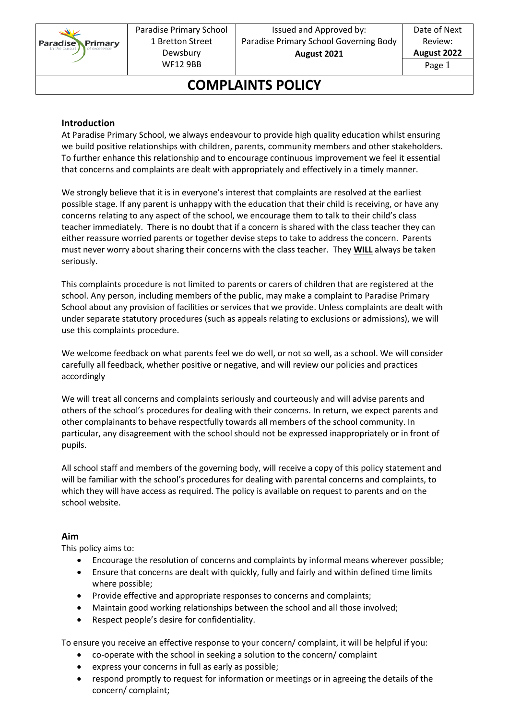

# **COMPLAINTS POLICY**

#### **Introduction**

At Paradise Primary School, we always endeavour to provide high quality education whilst ensuring we build positive relationships with children, parents, community members and other stakeholders. To further enhance this relationship and to encourage continuous improvement we feel it essential that concerns and complaints are dealt with appropriately and effectively in a timely manner.

We strongly believe that it is in everyone's interest that complaints are resolved at the earliest possible stage. If any parent is unhappy with the education that their child is receiving, or have any concerns relating to any aspect of the school, we encourage them to talk to their child's class teacher immediately. There is no doubt that if a concern is shared with the class teacher they can either reassure worried parents or together devise steps to take to address the concern. Parents must never worry about sharing their concerns with the class teacher. They **WILL** always be taken seriously.

This complaints procedure is not limited to parents or carers of children that are registered at the school. Any person, including members of the public, may make a complaint to Paradise Primary School about any provision of facilities or services that we provide. Unless complaints are dealt with under separate statutory procedures (such as appeals relating to exclusions or admissions), we will use this complaints procedure.

We welcome feedback on what parents feel we do well, or not so well, as a school. We will consider carefully all feedback, whether positive or negative, and will review our policies and practices accordingly

We will treat all concerns and complaints seriously and courteously and will advise parents and others of the school's procedures for dealing with their concerns. In return, we expect parents and other complainants to behave respectfully towards all members of the school community. In particular, any disagreement with the school should not be expressed inappropriately or in front of pupils.

All school staff and members of the governing body, will receive a copy of this policy statement and will be familiar with the school's procedures for dealing with parental concerns and complaints, to which they will have access as required. The policy is available on request to parents and on the school website.

#### **Aim**

This policy aims to:

- Encourage the resolution of concerns and complaints by informal means wherever possible;
- Ensure that concerns are dealt with quickly, fully and fairly and within defined time limits where possible;
- Provide effective and appropriate responses to concerns and complaints;
- Maintain good working relationships between the school and all those involved;
- Respect people's desire for confidentiality.

To ensure you receive an effective response to your concern/ complaint, it will be helpful if you:

- co-operate with the school in seeking a solution to the concern/ complaint
- express your concerns in full as early as possible;
- respond promptly to request for information or meetings or in agreeing the details of the concern/ complaint;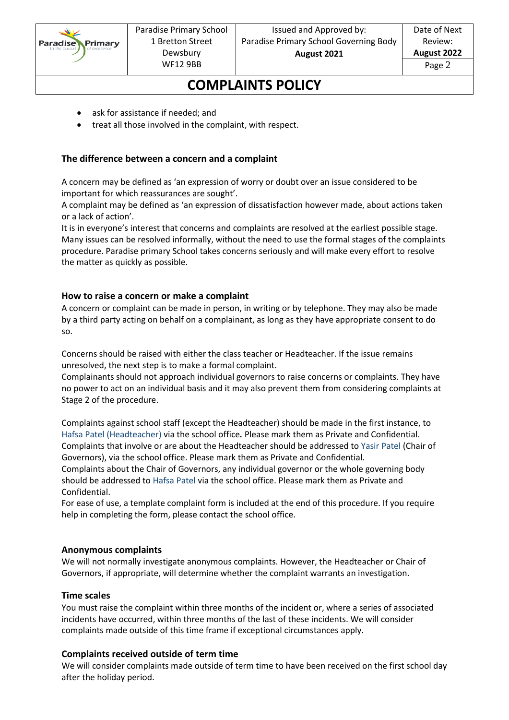

### **COMPLAINTS POLICY**

- ask for assistance if needed; and
- treat all those involved in the complaint, with respect.

#### **The difference between a concern and a complaint**

A concern may be defined as 'an expression of worry or doubt over an issue considered to be important for which reassurances are sought'.

A complaint may be defined as 'an expression of dissatisfaction however made, about actions taken or a lack of action'.

It is in everyone's interest that concerns and complaints are resolved at the earliest possible stage. Many issues can be resolved informally, without the need to use the formal stages of the complaints procedure. Paradise primary School takes concerns seriously and will make every effort to resolve the matter as quickly as possible.

#### **How to raise a concern or make a complaint**

A concern or complaint can be made in person, in writing or by telephone. They may also be made by a third party acting on behalf on a complainant, as long as they have appropriate consent to do so.

Concerns should be raised with either the class teacher or Headteacher. If the issue remains unresolved, the next step is to make a formal complaint.

Complainants should not approach individual governors to raise concerns or complaints. They have no power to act on an individual basis and it may also prevent them from considering complaints at Stage 2 of the procedure.

Complaints against school staff (except the Headteacher) should be made in the first instance, to Hafsa Patel (Headteacher) via the school office*.* Please mark them as Private and Confidential. Complaints that involve or are about the Headteacher should be addressed to Yasir Patel (Chair of Governors), via the school office. Please mark them as Private and Confidential.

Complaints about the Chair of Governors, any individual governor or the whole governing body should be addressed to Hafsa Patel via the school office. Please mark them as Private and Confidential.

For ease of use, a template complaint form is included at the end of this procedure. If you require help in completing the form, please contact the school office.

#### **Anonymous complaints**

We will not normally investigate anonymous complaints. However, the Headteacher or Chair of Governors, if appropriate, will determine whether the complaint warrants an investigation.

#### **Time scales**

You must raise the complaint within three months of the incident or, where a series of associated incidents have occurred, within three months of the last of these incidents. We will consider complaints made outside of this time frame if exceptional circumstances apply.

#### **Complaints received outside of term time**

We will consider complaints made outside of term time to have been received on the first school day after the holiday period.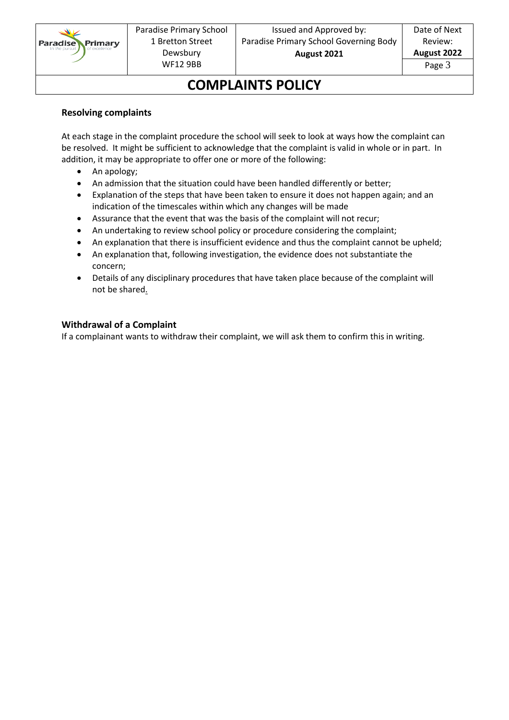

# **COMPLAINTS POLICY**

#### **Resolving complaints**

At each stage in the complaint procedure the school will seek to look at ways how the complaint can be resolved. It might be sufficient to acknowledge that the complaint is valid in whole or in part. In addition, it may be appropriate to offer one or more of the following:

- An apology;
- An admission that the situation could have been handled differently or better;
- Explanation of the steps that have been taken to ensure it does not happen again; and an indication of the timescales within which any changes will be made
- Assurance that the event that was the basis of the complaint will not recur;
- An undertaking to review school policy or procedure considering the complaint;
- An explanation that there is insufficient evidence and thus the complaint cannot be upheld;
- An explanation that, following investigation, the evidence does not substantiate the concern;
- Details of any disciplinary procedures that have taken place because of the complaint will not be shared.

### **Withdrawal of a Complaint**

If a complainant wants to withdraw their complaint, we will ask them to confirm this in writing.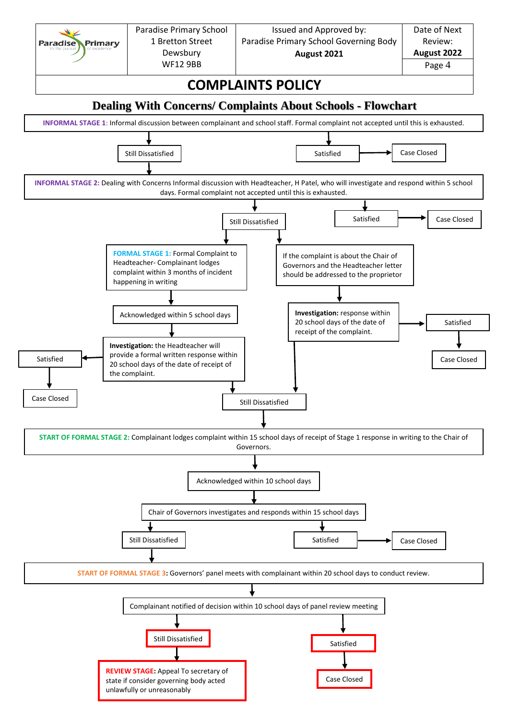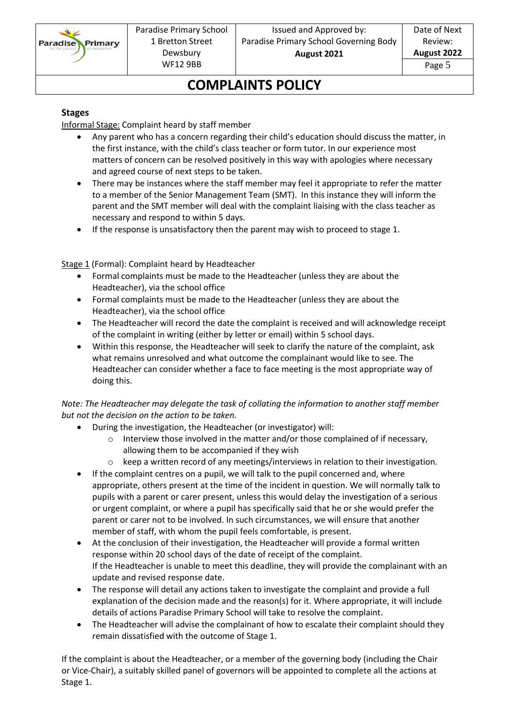

# **COMPLAINTS POLICY**

#### **Stages**

Informal Stage: Complaint heard by staff member

- Any parent who has a concern regarding their child's education should discuss the matter, in the first instance, with the child's class teacher or form tutor. In our experience most matters of concern can be resolved positively in this way with apologies where necessary and agreed course of next steps to be taken.
- There may be instances where the staff member may feel it appropriate to refer the matter to a member of the Senior Management Team (SMT). In this instance they will inform the parent and the SMT member will deal with the complaint liaising with the class teacher as necessary and respond to within 5 days.
- If the response is unsatisfactory then the parent may wish to proceed to stage 1.

Stage 1 (Formal): Complaint heard by Headteacher

- Formal complaints must be made to the Headteacher (unless they are about the Headteacher), via the school office
- Formal complaints must be made to the Headteacher (unless they are about the Headteacher), via the school office
- The Headteacher will record the date the complaint is received and will acknowledge receipt of the complaint in writing (either by letter or email) within 5 school days.
- Within this response, the Headteacher will seek to clarify the nature of the complaint, ask what remains unresolved and what outcome the complainant would like to see. The Headteacher can consider whether a face to face meeting is the most appropriate way of doing this.

### *Note: The Headteacher may delegate the task of collating the information to another staff member but not the decision on the action to be taken.*

- During the investigation, the Headteacher (or investigator) will:
	- o Interview those involved in the matter and/or those complained of if necessary, allowing them to be accompanied if they wish
	- o keep a written record of any meetings/interviews in relation to their investigation.
- If the complaint centres on a pupil, we will talk to the pupil concerned and, where appropriate, others present at the time of the incident in question. We will normally talk to pupils with a parent or carer present, unless this would delay the investigation of a serious or urgent complaint, or where a pupil has specifically said that he or she would prefer the parent or carer not to be involved. In such circumstances, we will ensure that another member of staff, with whom the pupil feels comfortable, is present.
- At the conclusion of their investigation, the Headteacher will provide a formal written response within 20 school days of the date of receipt of the complaint. If the Headteacher is unable to meet this deadline, they will provide the complainant with an update and revised response date.
- The response will detail any actions taken to investigate the complaint and provide a full explanation of the decision made and the reason(s) for it. Where appropriate, it will include details of actions Paradise Primary School will take to resolve the complaint.
- The Headteacher will advise the complainant of how to escalate their complaint should they remain dissatisfied with the outcome of Stage 1.

If the complaint is about the Headteacher, or a member of the governing body (including the Chair or Vice-Chair), a suitably skilled panel of governors will be appointed to complete all the actions at Stage 1.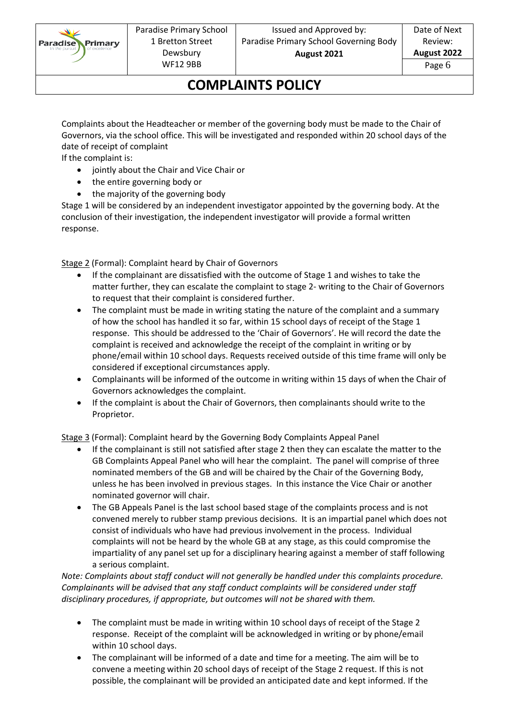

## **COMPLAINTS POLICY**

Complaints about the Headteacher or member of the governing body must be made to the Chair of Governors, via the school office. This will be investigated and responded within 20 school days of the date of receipt of complaint

If the complaint is:

- jointly about the Chair and Vice Chair or
- the entire governing body or
- the majority of the governing body

Stage 1 will be considered by an independent investigator appointed by the governing body. At the conclusion of their investigation, the independent investigator will provide a formal written response.

Stage 2 (Formal): Complaint heard by Chair of Governors

- If the complainant are dissatisfied with the outcome of Stage 1 and wishes to take the matter further, they can escalate the complaint to stage 2- writing to the Chair of Governors to request that their complaint is considered further.
- The complaint must be made in writing stating the nature of the complaint and a summary of how the school has handled it so far, within 15 school days of receipt of the Stage 1 response. This should be addressed to the 'Chair of Governors'. He will record the date the complaint is received and acknowledge the receipt of the complaint in writing or by phone/email within 10 school days. Requests received outside of this time frame will only be considered if exceptional circumstances apply.
- Complainants will be informed of the outcome in writing within 15 days of when the Chair of Governors acknowledges the complaint.
- If the complaint is about the Chair of Governors, then complainants should write to the Proprietor.

Stage 3 (Formal): Complaint heard by the Governing Body Complaints Appeal Panel

- If the complainant is still not satisfied after stage 2 then they can escalate the matter to the GB Complaints Appeal Panel who will hear the complaint. The panel will comprise of three nominated members of the GB and will be chaired by the Chair of the Governing Body, unless he has been involved in previous stages. In this instance the Vice Chair or another nominated governor will chair.
- The GB Appeals Panel is the last school based stage of the complaints process and is not convened merely to rubber stamp previous decisions. It is an impartial panel which does not consist of individuals who have had previous involvement in the process. Individual complaints will not be heard by the whole GB at any stage, as this could compromise the impartiality of any panel set up for a disciplinary hearing against a member of staff following a serious complaint.

*Note: Complaints about staff conduct will not generally be handled under this complaints procedure. Complainants will be advised that any staff conduct complaints will be considered under staff disciplinary procedures, if appropriate, but outcomes will not be shared with them.* 

- The complaint must be made in writing within 10 school days of receipt of the Stage 2 response. Receipt of the complaint will be acknowledged in writing or by phone/email within 10 school days.
- The complainant will be informed of a date and time for a meeting. The aim will be to convene a meeting within 20 school days of receipt of the Stage 2 request. If this is not possible, the complainant will be provided an anticipated date and kept informed. If the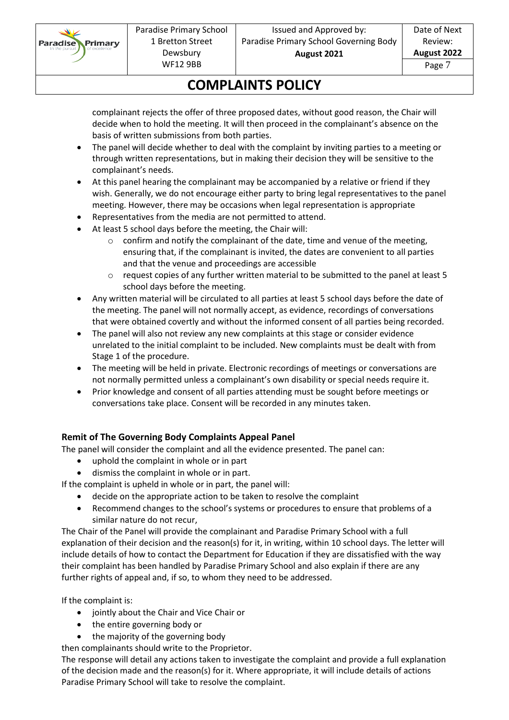

Date of Next Review: **August 2022**

Page 7

# **COMPLAINTS POLICY**

complainant rejects the offer of three proposed dates, without good reason, the Chair will decide when to hold the meeting. It will then proceed in the complainant's absence on the basis of written submissions from both parties.

- The panel will decide whether to deal with the complaint by inviting parties to a meeting or through written representations, but in making their decision they will be sensitive to the complainant's needs.
- At this panel hearing the complainant may be accompanied by a relative or friend if they wish. Generally, we do not encourage either party to bring legal representatives to the panel meeting. However, there may be occasions when legal representation is appropriate
- Representatives from the media are not permitted to attend.
- At least 5 school days before the meeting, the Chair will:
	- o confirm and notify the complainant of the date, time and venue of the meeting, ensuring that, if the complainant is invited, the dates are convenient to all parties and that the venue and proceedings are accessible
	- o request copies of any further written material to be submitted to the panel at least 5 school days before the meeting.
- Any written material will be circulated to all parties at least 5 school days before the date of the meeting. The panel will not normally accept, as evidence, recordings of conversations that were obtained covertly and without the informed consent of all parties being recorded.
- The panel will also not review any new complaints at this stage or consider evidence unrelated to the initial complaint to be included. New complaints must be dealt with from Stage 1 of the procedure.
- The meeting will be held in private. Electronic recordings of meetings or conversations are not normally permitted unless a complainant's own disability or special needs require it.
- Prior knowledge and consent of all parties attending must be sought before meetings or conversations take place. Consent will be recorded in any minutes taken.

### **Remit of The Governing Body Complaints Appeal Panel**

The panel will consider the complaint and all the evidence presented. The panel can:

- uphold the complaint in whole or in part
- dismiss the complaint in whole or in part.

If the complaint is upheld in whole or in part, the panel will:

- decide on the appropriate action to be taken to resolve the complaint
- Recommend changes to the school's systems or procedures to ensure that problems of a similar nature do not recur,

The Chair of the Panel will provide the complainant and Paradise Primary School with a full explanation of their decision and the reason(s) for it, in writing, within 10 school days. The letter will include details of how to contact the Department for Education if they are dissatisfied with the way their complaint has been handled by Paradise Primary School and also explain if there are any further rights of appeal and, if so, to whom they need to be addressed.

If the complaint is:

- jointly about the Chair and Vice Chair or
- the entire governing body or
- the majority of the governing body

then complainants should write to the Proprietor.

The response will detail any actions taken to investigate the complaint and provide a full explanation of the decision made and the reason(s) for it. Where appropriate, it will include details of actions Paradise Primary School will take to resolve the complaint.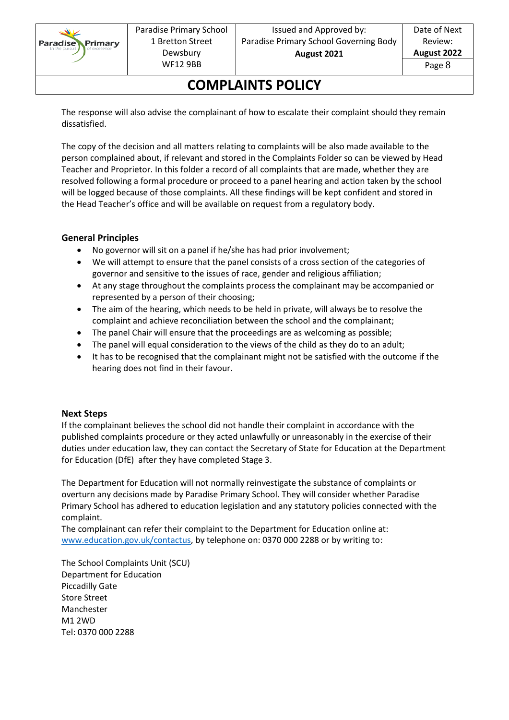

# **COMPLAINTS POLICY**

The response will also advise the complainant of how to escalate their complaint should they remain dissatisfied.

The copy of the decision and all matters relating to complaints will be also made available to the person complained about, if relevant and stored in the Complaints Folder so can be viewed by Head Teacher and Proprietor. In this folder a record of all complaints that are made, whether they are resolved following a formal procedure or proceed to a panel hearing and action taken by the school will be logged because of those complaints. All these findings will be kept confident and stored in the Head Teacher's office and will be available on request from a regulatory body.

### **General Principles**

- No governor will sit on a panel if he/she has had prior involvement;
- We will attempt to ensure that the panel consists of a cross section of the categories of governor and sensitive to the issues of race, gender and religious affiliation;
- At any stage throughout the complaints process the complainant may be accompanied or represented by a person of their choosing;
- The aim of the hearing, which needs to be held in private, will always be to resolve the complaint and achieve reconciliation between the school and the complainant;
- The panel Chair will ensure that the proceedings are as welcoming as possible;
- The panel will equal consideration to the views of the child as they do to an adult;
- It has to be recognised that the complainant might not be satisfied with the outcome if the hearing does not find in their favour.

#### **Next Steps**

If the complainant believes the school did not handle their complaint in accordance with the published complaints procedure or they acted unlawfully or unreasonably in the exercise of their duties under education law, they can contact the Secretary of State for Education at the Department for Education (DfE) after they have completed Stage 3.

The Department for Education will not normally reinvestigate the substance of complaints or overturn any decisions made by Paradise Primary School. They will consider whether Paradise Primary School has adhered to education legislation and any statutory policies connected with the complaint.

The complainant can refer their complaint to the Department for Education online at: [www.education.gov.uk/contactus,](http://www.education.gov.uk/contactus) by telephone on: 0370 000 2288 or by writing to:

The School Complaints Unit (SCU) Department for Education Piccadilly Gate Store Street Manchester M1 2WD Tel: 0370 000 2288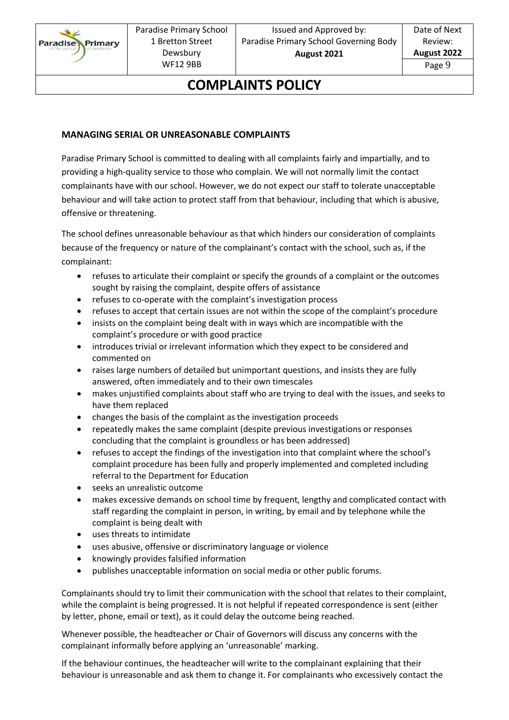

### **COMPLAINTS POLICY**

#### **MANAGING SERIAL OR UNREASONABLE COMPLAINTS**

Paradise Primary School is committed to dealing with all complaints fairly and impartially, and to providing a high-quality service to those who complain. We will not normally limit the contact complainants have with our school. However, we do not expect our staff to tolerate unacceptable behaviour and will take action to protect staff from that behaviour, including that which is abusive, offensive or threatening.

The school defines unreasonable behaviour as that which hinders our consideration of complaints because of the frequency or nature of the complainant's contact with the school, such as, if the complainant:

- refuses to articulate their complaint or specify the grounds of a complaint or the outcomes sought by raising the complaint, despite offers of assistance
- refuses to co-operate with the complaint's investigation process
- refuses to accept that certain issues are not within the scope of the complaint's procedure
- insists on the complaint being dealt with in ways which are incompatible with the complaint's procedure or with good practice
- introduces trivial or irrelevant information which they expect to be considered and commented on
- raises large numbers of detailed but unimportant questions, and insists they are fully answered, often immediately and to their own timescales
- makes unjustified complaints about staff who are trying to deal with the issues, and seeks to have them replaced
- changes the basis of the complaint as the investigation proceeds
- repeatedly makes the same complaint (despite previous investigations or responses concluding that the complaint is groundless or has been addressed)
- refuses to accept the findings of the investigation into that complaint where the school's complaint procedure has been fully and properly implemented and completed including referral to the Department for Education
- seeks an unrealistic outcome
- makes excessive demands on school time by frequent, lengthy and complicated contact with staff regarding the complaint in person, in writing, by email and by telephone while the complaint is being dealt with
- uses threats to intimidate
- uses abusive, offensive or discriminatory language or violence
- knowingly provides falsified information
- publishes unacceptable information on social media or other public forums.

Complainants should try to limit their communication with the school that relates to their complaint, while the complaint is being progressed. It is not helpful if repeated correspondence is sent (either by letter, phone, email or text), as it could delay the outcome being reached.

Whenever possible, the headteacher or Chair of Governors will discuss any concerns with the complainant informally before applying an 'unreasonable' marking.

If the behaviour continues, the headteacher will write to the complainant explaining that their behaviour is unreasonable and ask them to change it. For complainants who excessively contact the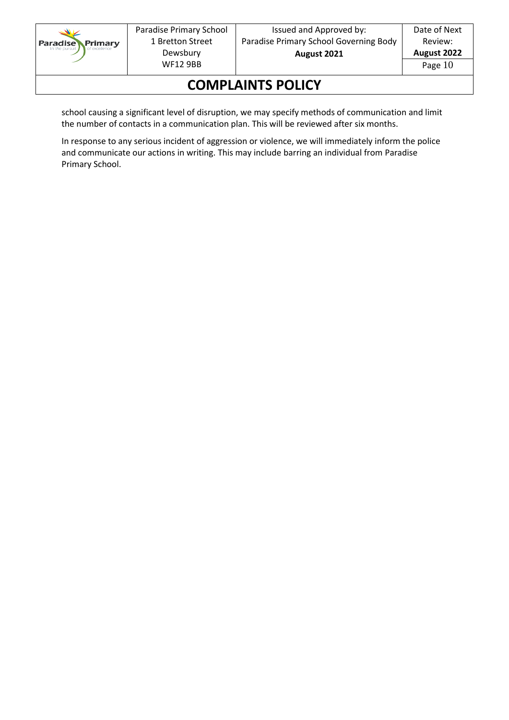

# **COMPLAINTS POLICY**

school causing a significant level of disruption, we may specify methods of communication and limit the number of contacts in a communication plan. This will be reviewed after six months.

In response to any serious incident of aggression or violence, we will immediately inform the police and communicate our actions in writing. This may include barring an individual from Paradise Primary School.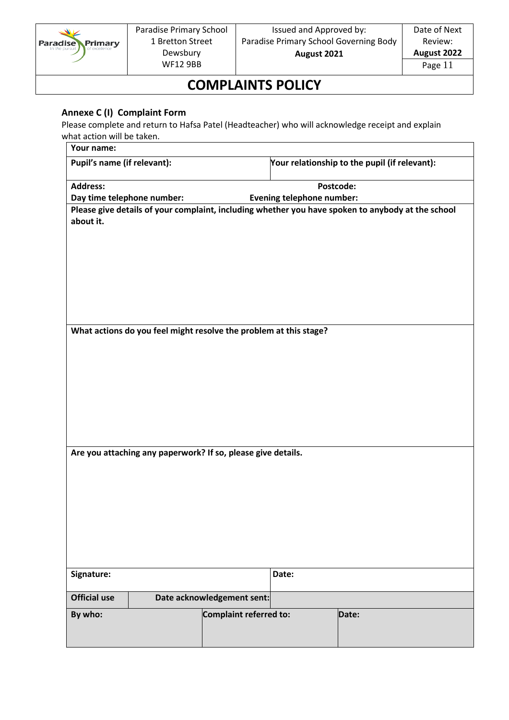

### **COMPLAINTS POLICY**

### **Annexe C (I) Complaint Form**

Please complete and return to Hafsa Patel (Headteacher) who will acknowledge receipt and explain what action will be taken.

| Your name:                                                   |                                                                   |                            |                                  |                                                                                                   |
|--------------------------------------------------------------|-------------------------------------------------------------------|----------------------------|----------------------------------|---------------------------------------------------------------------------------------------------|
| Pupil's name (if relevant):                                  |                                                                   |                            |                                  | Your relationship to the pupil (if relevant):                                                     |
| <b>Address:</b>                                              |                                                                   |                            | Postcode:                        |                                                                                                   |
| Day time telephone number:                                   |                                                                   |                            | <b>Evening telephone number:</b> |                                                                                                   |
| about it.                                                    |                                                                   |                            |                                  | Please give details of your complaint, including whether you have spoken to anybody at the school |
|                                                              | What actions do you feel might resolve the problem at this stage? |                            |                                  |                                                                                                   |
|                                                              |                                                                   |                            |                                  |                                                                                                   |
|                                                              |                                                                   |                            |                                  |                                                                                                   |
|                                                              |                                                                   |                            |                                  |                                                                                                   |
| Are you attaching any paperwork? If so, please give details. |                                                                   |                            |                                  |                                                                                                   |
|                                                              |                                                                   |                            |                                  |                                                                                                   |
|                                                              |                                                                   |                            |                                  |                                                                                                   |
|                                                              |                                                                   |                            |                                  |                                                                                                   |
|                                                              |                                                                   |                            |                                  |                                                                                                   |
|                                                              |                                                                   |                            |                                  |                                                                                                   |
| Signature:                                                   |                                                                   |                            | Date:                            |                                                                                                   |
| <b>Official use</b>                                          |                                                                   | Date acknowledgement sent: |                                  |                                                                                                   |
| By who:                                                      |                                                                   | Complaint referred to:     |                                  | Date:                                                                                             |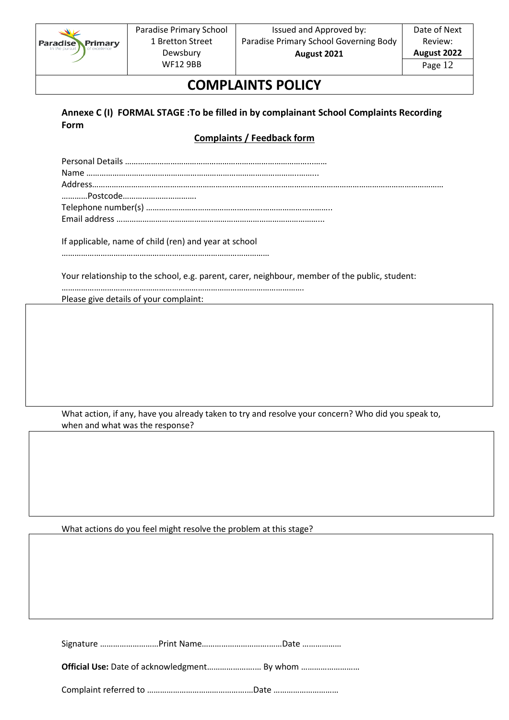

# **COMPLAINTS POLICY**

### **Annexe C (I) FORMAL STAGE :To be filled in by complainant School Complaints Recording Form**

### **Complaints / Feedback form**

If applicable, name of child (ren) and year at school

……………………………………………………………………………………

Your relationship to the school, e.g. parent, carer, neighbour, member of the public, student:

…………………………………………………………………………………………………. Please give details of your complaint:

What action, if any, have you already taken to try and resolve your concern? Who did you speak to, when and what was the response?

What actions do you feel might resolve the problem at this stage?

Signature ………………………Print Name………………………….……Date ………………

**Official Use:** Date of acknowledgment………………….… By whom ………………………

Complaint referred to ……………………………………….…Date …………………………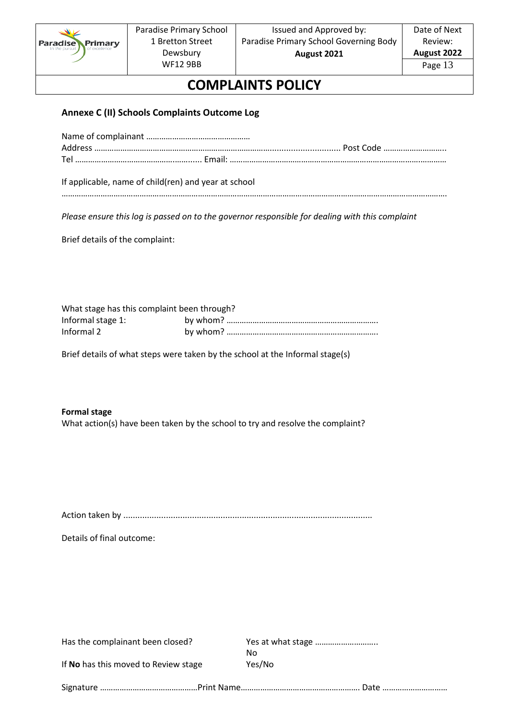

# **COMPLAINTS POLICY**

### **Annexe C (II) Schools Complaints Outcome Log**

If applicable, name of child(ren) and year at school

*Please ensure this log is passed on to the governor responsible for dealing with this complaint*

Brief details of the complaint:

| What stage has this complaint been through? |  |  |  |
|---------------------------------------------|--|--|--|
| Informal stage 1:                           |  |  |  |
| Informal 2                                  |  |  |  |

Brief details of what steps were taken by the school at the Informal stage(s)

#### **Formal stage**

What action(s) have been taken by the school to try and resolve the complaint?

Action taken by .........................................................................................................

Details of final outcome:

| Has the complainant been closed?                                           |        |  |  |
|----------------------------------------------------------------------------|--------|--|--|
|                                                                            | No     |  |  |
| If No has this moved to Review stage                                       | Yes/No |  |  |
| Signature ………………………………………Print Name……………………………………………………… Date ……………………………… |        |  |  |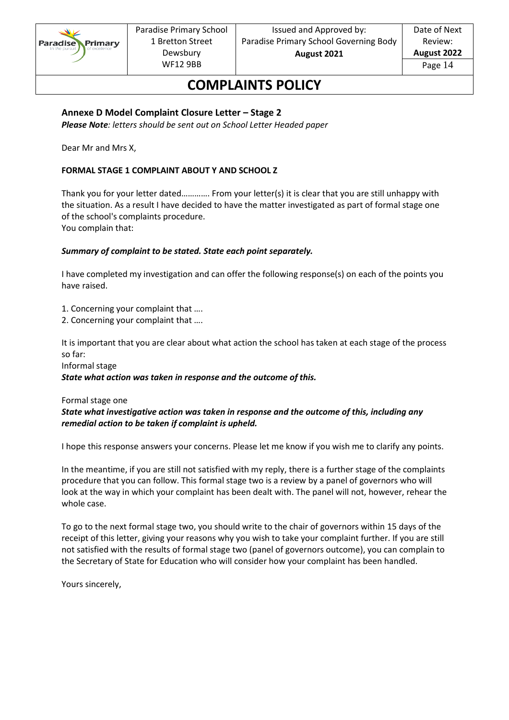

### **COMPLAINTS POLICY**

#### **Annexe D Model Complaint Closure Letter – Stage 2**

*Please Note: letters should be sent out on School Letter Headed paper*

Dear Mr and Mrs X,

#### **FORMAL STAGE 1 COMPLAINT ABOUT Y AND SCHOOL Z**

Thank you for your letter dated…………. From your letter(s) it is clear that you are still unhappy with the situation. As a result I have decided to have the matter investigated as part of formal stage one of the school's complaints procedure. You complain that:

#### *Summary of complaint to be stated. State each point separately.*

I have completed my investigation and can offer the following response(s) on each of the points you have raised.

1. Concerning your complaint that ….

2. Concerning your complaint that ….

It is important that you are clear about what action the school has taken at each stage of the process so far:

Informal stage

*State what action was taken in response and the outcome of this.* 

#### Formal stage one

*State what investigative action was taken in response and the outcome of this, including any remedial action to be taken if complaint is upheld.* 

I hope this response answers your concerns. Please let me know if you wish me to clarify any points.

In the meantime, if you are still not satisfied with my reply, there is a further stage of the complaints procedure that you can follow. This formal stage two is a review by a panel of governors who will look at the way in which your complaint has been dealt with. The panel will not, however, rehear the whole case.

To go to the next formal stage two, you should write to the chair of governors within 15 days of the receipt of this letter, giving your reasons why you wish to take your complaint further. If you are still not satisfied with the results of formal stage two (panel of governors outcome), you can complain to the Secretary of State for Education who will consider how your complaint has been handled.

Yours sincerely,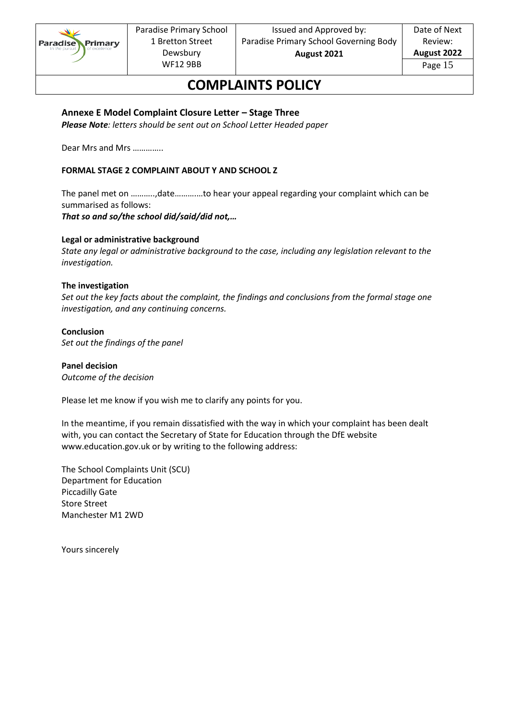

### **COMPLAINTS POLICY**

#### **Annexe E Model Complaint Closure Letter – Stage Three**

*Please Note: letters should be sent out on School Letter Headed paper*

Dear Mrs and Mrs …………..

#### **FORMAL STAGE 2 COMPLAINT ABOUT Y AND SCHOOL Z**

The panel met on ………..,date……….…to hear your appeal regarding your complaint which can be summarised as follows:

*That so and so/the school did/said/did not,…* 

#### **Legal or administrative background**

*State any legal or administrative background to the case, including any legislation relevant to the investigation.*

#### **The investigation**

*Set out the key facts about the complaint, the findings and conclusions from the formal stage one investigation, and any continuing concerns.* 

#### **Conclusion**

*Set out the findings of the panel* 

**Panel decision**  *Outcome of the decision* 

Please let me know if you wish me to clarify any points for you.

In the meantime, if you remain dissatisfied with the way in which your complaint has been dealt with, you can contact the Secretary of State for Education through the DfE website www.education.gov.uk or by writing to the following address:

The School Complaints Unit (SCU) Department for Education Piccadilly Gate Store Street Manchester M1 2WD

Yours sincerely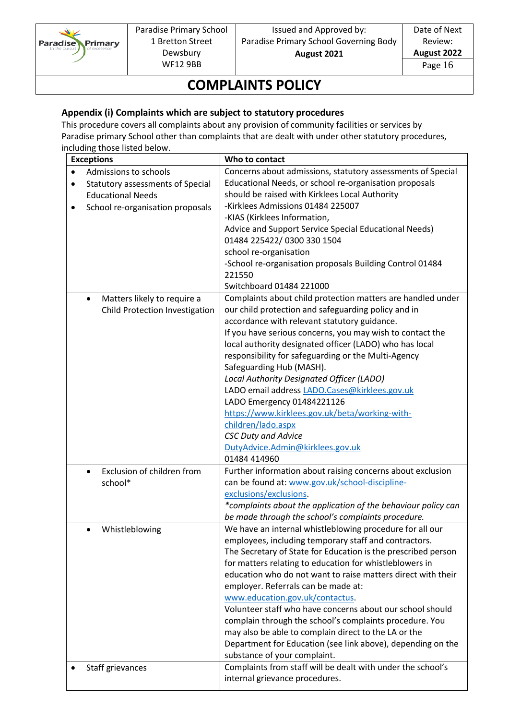

Date of Next Review: **August 2022**

Page 16

# **COMPLAINTS POLICY**

### **Appendix (i) Complaints which are subject to statutory procedures**

This procedure covers all complaints about any provision of community facilities or services by Paradise primary School other than complaints that are dealt with under other statutory procedures, including those listed below.

| <b>Exceptions</b>                                    | Who to contact                                                |
|------------------------------------------------------|---------------------------------------------------------------|
| Admissions to schools<br>$\bullet$                   | Concerns about admissions, statutory assessments of Special   |
| <b>Statutory assessments of Special</b><br>$\bullet$ | Educational Needs, or school re-organisation proposals        |
| <b>Educational Needs</b>                             | should be raised with Kirklees Local Authority                |
| School re-organisation proposals<br>$\bullet$        | -Kirklees Admissions 01484 225007                             |
|                                                      | -KIAS (Kirklees Information,                                  |
|                                                      | Advice and Support Service Special Educational Needs)         |
|                                                      | 01484 225422/0300 330 1504                                    |
|                                                      | school re-organisation                                        |
|                                                      | -School re-organisation proposals Building Control 01484      |
|                                                      | 221550                                                        |
|                                                      | Switchboard 01484 221000                                      |
| Matters likely to require a<br>$\bullet$             | Complaints about child protection matters are handled under   |
| Child Protection Investigation                       | our child protection and safeguarding policy and in           |
|                                                      | accordance with relevant statutory guidance.                  |
|                                                      | If you have serious concerns, you may wish to contact the     |
|                                                      | local authority designated officer (LADO) who has local       |
|                                                      | responsibility for safeguarding or the Multi-Agency           |
|                                                      | Safeguarding Hub (MASH).                                      |
|                                                      | Local Authority Designated Officer (LADO)                     |
|                                                      | LADO email address LADO.Cases@kirklees.gov.uk                 |
|                                                      | LADO Emergency 01484221126                                    |
|                                                      | https://www.kirklees.gov.uk/beta/working-with-                |
|                                                      | children/lado.aspx                                            |
|                                                      | <b>CSC Duty and Advice</b>                                    |
|                                                      | DutyAdvice.Admin@kirklees.gov.uk                              |
|                                                      | 01484 414960                                                  |
| Exclusion of children from<br>$\bullet$              | Further information about raising concerns about exclusion    |
| school*                                              | can be found at: www.gov.uk/school-discipline-                |
|                                                      | exclusions/exclusions.                                        |
|                                                      | *complaints about the application of the behaviour policy can |
|                                                      | be made through the school's complaints procedure.            |
| Whistleblowing<br>$\bullet$                          | We have an internal whistleblowing procedure for all our      |
|                                                      | employees, including temporary staff and contractors.         |
|                                                      | The Secretary of State for Education is the prescribed person |
|                                                      | for matters relating to education for whistleblowers in       |
|                                                      | education who do not want to raise matters direct with their  |
|                                                      | employer. Referrals can be made at:                           |
|                                                      | www.education.gov.uk/contactus.                               |
|                                                      | Volunteer staff who have concerns about our school should     |
|                                                      | complain through the school's complaints procedure. You       |
|                                                      | may also be able to complain direct to the LA or the          |
|                                                      | Department for Education (see link above), depending on the   |
|                                                      | substance of your complaint.                                  |
| Staff grievances                                     | Complaints from staff will be dealt with under the school's   |
|                                                      | internal grievance procedures.                                |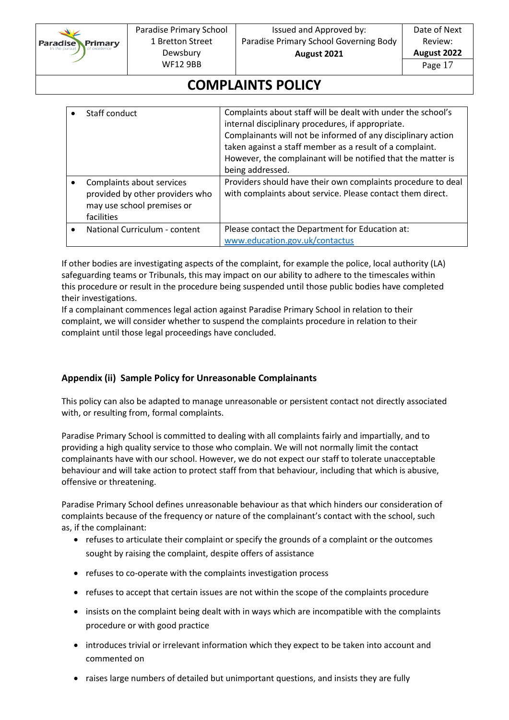

# **COMPLAINTS POLICY**

| Staff conduct                                                                                            | Complaints about staff will be dealt with under the school's<br>internal disciplinary procedures, if appropriate.<br>Complainants will not be informed of any disciplinary action<br>taken against a staff member as a result of a complaint.<br>However, the complainant will be notified that the matter is<br>being addressed. |
|----------------------------------------------------------------------------------------------------------|-----------------------------------------------------------------------------------------------------------------------------------------------------------------------------------------------------------------------------------------------------------------------------------------------------------------------------------|
| Complaints about services<br>provided by other providers who<br>may use school premises or<br>facilities | Providers should have their own complaints procedure to deal<br>with complaints about service. Please contact them direct.                                                                                                                                                                                                        |
| National Curriculum - content                                                                            | Please contact the Department for Education at:<br>www.education.gov.uk/contactus                                                                                                                                                                                                                                                 |

If other bodies are investigating aspects of the complaint, for example the police, local authority (LA) safeguarding teams or Tribunals, this may impact on our ability to adhere to the timescales within this procedure or result in the procedure being suspended until those public bodies have completed their investigations.

If a complainant commences legal action against Paradise Primary School in relation to their complaint, we will consider whether to suspend the complaints procedure in relation to their complaint until those legal proceedings have concluded.

### **Appendix (ii) Sample Policy for Unreasonable Complainants**

This policy can also be adapted to manage unreasonable or persistent contact not directly associated with, or resulting from, formal complaints.

Paradise Primary School is committed to dealing with all complaints fairly and impartially, and to providing a high quality service to those who complain. We will not normally limit the contact complainants have with our school. However, we do not expect our staff to tolerate unacceptable behaviour and will take action to protect staff from that behaviour, including that which is abusive, offensive or threatening.

Paradise Primary School defines unreasonable behaviour as that which hinders our consideration of complaints because of the frequency or nature of the complainant's contact with the school, such as, if the complainant:

- refuses to articulate their complaint or specify the grounds of a complaint or the outcomes sought by raising the complaint, despite offers of assistance
- refuses to co-operate with the complaints investigation process
- refuses to accept that certain issues are not within the scope of the complaints procedure
- insists on the complaint being dealt with in ways which are incompatible with the complaints procedure or with good practice
- introduces trivial or irrelevant information which they expect to be taken into account and commented on
- raises large numbers of detailed but unimportant questions, and insists they are fully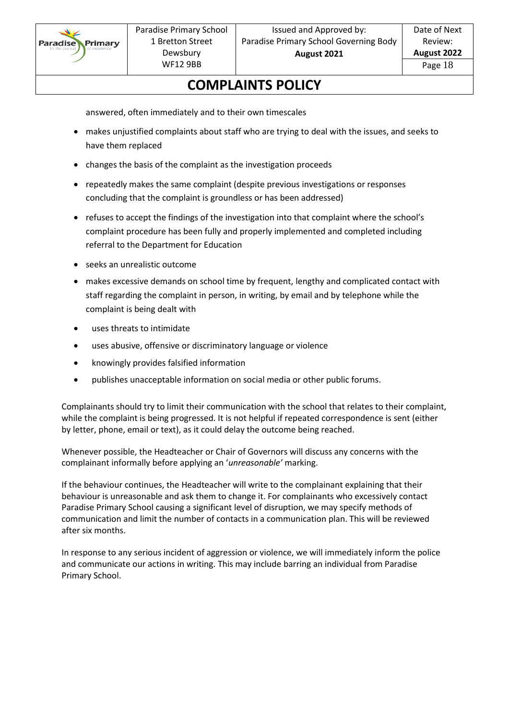

## **COMPLAINTS POLICY**

answered, often immediately and to their own timescales

- makes unjustified complaints about staff who are trying to deal with the issues, and seeks to have them replaced
- changes the basis of the complaint as the investigation proceeds
- repeatedly makes the same complaint (despite previous investigations or responses concluding that the complaint is groundless or has been addressed)
- refuses to accept the findings of the investigation into that complaint where the school's complaint procedure has been fully and properly implemented and completed including referral to the Department for Education
- seeks an unrealistic outcome
- makes excessive demands on school time by frequent, lengthy and complicated contact with staff regarding the complaint in person, in writing, by email and by telephone while the complaint is being dealt with
- uses threats to intimidate
- uses abusive, offensive or discriminatory language or violence
- knowingly provides falsified information
- publishes unacceptable information on social media or other public forums.

Complainants should try to limit their communication with the school that relates to their complaint, while the complaint is being progressed. It is not helpful if repeated correspondence is sent (either by letter, phone, email or text), as it could delay the outcome being reached.

Whenever possible, the Headteacher or Chair of Governors will discuss any concerns with the complainant informally before applying an '*unreasonable'* marking.

If the behaviour continues, the Headteacher will write to the complainant explaining that their behaviour is unreasonable and ask them to change it. For complainants who excessively contact Paradise Primary School causing a significant level of disruption, we may specify methods of communication and limit the number of contacts in a communication plan. This will be reviewed after six months.

In response to any serious incident of aggression or violence, we will immediately inform the police and communicate our actions in writing. This may include barring an individual from Paradise Primary School.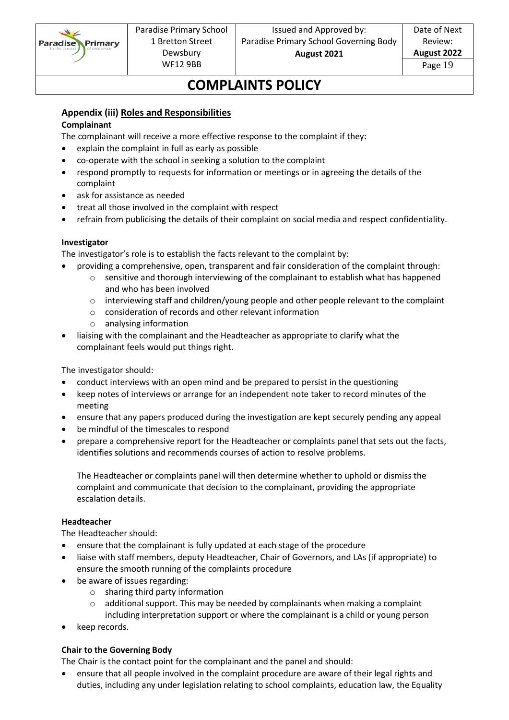

# **COMPLAINTS POLICY**

### **Appendix (iii) Roles and Responsibilities**

#### **Complainant**

The complainant will receive a more effective response to the complaint if they:

- explain the complaint in full as early as possible
- co-operate with the school in seeking a solution to the complaint
- respond promptly to requests for information or meetings or in agreeing the details of the complaint
- ask for assistance as needed
- treat all those involved in the complaint with respect
- refrain from publicising the details of their complaint on social media and respect confidentiality.

#### **Investigator**

The investigator's role is to establish the facts relevant to the complaint by:

- providing a comprehensive, open, transparent and fair consideration of the complaint through:
	- $\circ$  sensitive and thorough interviewing of the complainant to establish what has happened and who has been involved
	- o interviewing staff and children/young people and other people relevant to the complaint
	- o consideration of records and other relevant information
	- o analysing information
- liaising with the complainant and the Headteacher as appropriate to clarify what the complainant feels would put things right.

The investigator should:

- conduct interviews with an open mind and be prepared to persist in the questioning
- keep notes of interviews or arrange for an independent note taker to record minutes of the meeting
- ensure that any papers produced during the investigation are kept securely pending any appeal
- be mindful of the timescales to respond
- prepare a comprehensive report for the Headteacher or complaints panel that sets out the facts, identifies solutions and recommends courses of action to resolve problems.

The Headteacher or complaints panel will then determine whether to uphold or dismiss the complaint and communicate that decision to the complainant, providing the appropriate escalation details.

#### **Headteacher**

The Headteacher should:

- ensure that the complainant is fully updated at each stage of the procedure
- liaise with staff members, deputy Headteacher, Chair of Governors, and LAs (if appropriate) to ensure the smooth running of the complaints procedure
- be aware of issues regarding:
	- o sharing third party information
	- $\circ$  additional support. This may be needed by complainants when making a complaint including interpretation support or where the complainant is a child or young person
- keep records.

### **Chair to the Governing Body**

The Chair is the contact point for the complainant and the panel and should:

• ensure that all people involved in the complaint procedure are aware of their legal rights and duties, including any under legislation relating to school complaints, education law, the Equality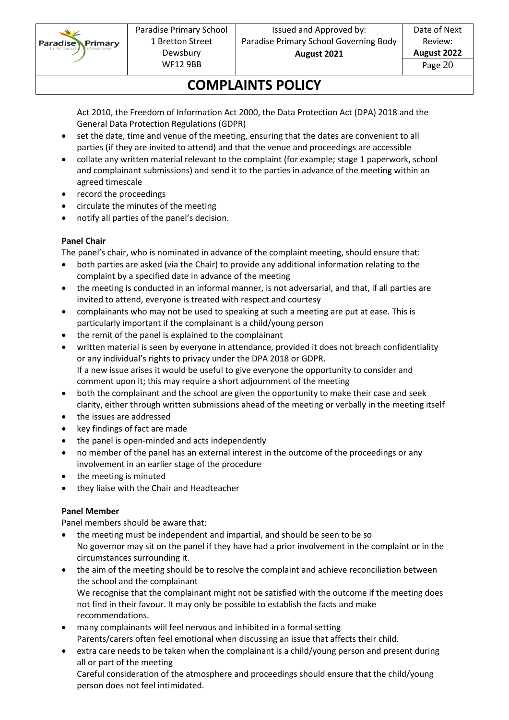

# **COMPLAINTS POLICY**

Act 2010, the Freedom of Information Act 2000, the Data Protection Act (DPA) 2018 and the General Data Protection Regulations (GDPR)

- set the date, time and venue of the meeting, ensuring that the dates are convenient to all parties (if they are invited to attend) and that the venue and proceedings are accessible
- collate any written material relevant to the complaint (for example; stage 1 paperwork, school and complainant submissions) and send it to the parties in advance of the meeting within an agreed timescale
- record the proceedings
- circulate the minutes of the meeting
- notify all parties of the panel's decision.

### **Panel Chair**

The panel's chair, who is nominated in advance of the complaint meeting, should ensure that:

- both parties are asked (via the Chair) to provide any additional information relating to the complaint by a specified date in advance of the meeting
- the meeting is conducted in an informal manner, is not adversarial, and that, if all parties are invited to attend, everyone is treated with respect and courtesy
- complainants who may not be used to speaking at such a meeting are put at ease. This is particularly important if the complainant is a child/young person
- the remit of the panel is explained to the complainant
- written material is seen by everyone in attendance, provided it does not breach confidentiality or any individual's rights to privacy under the DPA 2018 or GDPR. If a new issue arises it would be useful to give everyone the opportunity to consider and comment upon it; this may require a short adjournment of the meeting
- both the complainant and the school are given the opportunity to make their case and seek clarity, either through written submissions ahead of the meeting or verbally in the meeting itself
- the issues are addressed
- key findings of fact are made
- the panel is open-minded and acts independently
- no member of the panel has an external interest in the outcome of the proceedings or any involvement in an earlier stage of the procedure
- the meeting is minuted
- they liaise with the Chair and Headteacher

### **Panel Member**

Panel members should be aware that:

person does not feel intimidated.

- the meeting must be independent and impartial, and should be seen to be so No governor may sit on the panel if they have had a prior involvement in the complaint or in the circumstances surrounding it.
- the aim of the meeting should be to resolve the complaint and achieve reconciliation between the school and the complainant We recognise that the complainant might not be satisfied with the outcome if the meeting does not find in their favour. It may only be possible to establish the facts and make recommendations.
- many complainants will feel nervous and inhibited in a formal setting Parents/carers often feel emotional when discussing an issue that affects their child.
- extra care needs to be taken when the complainant is a child/young person and present during all or part of the meeting Careful consideration of the atmosphere and proceedings should ensure that the child/young